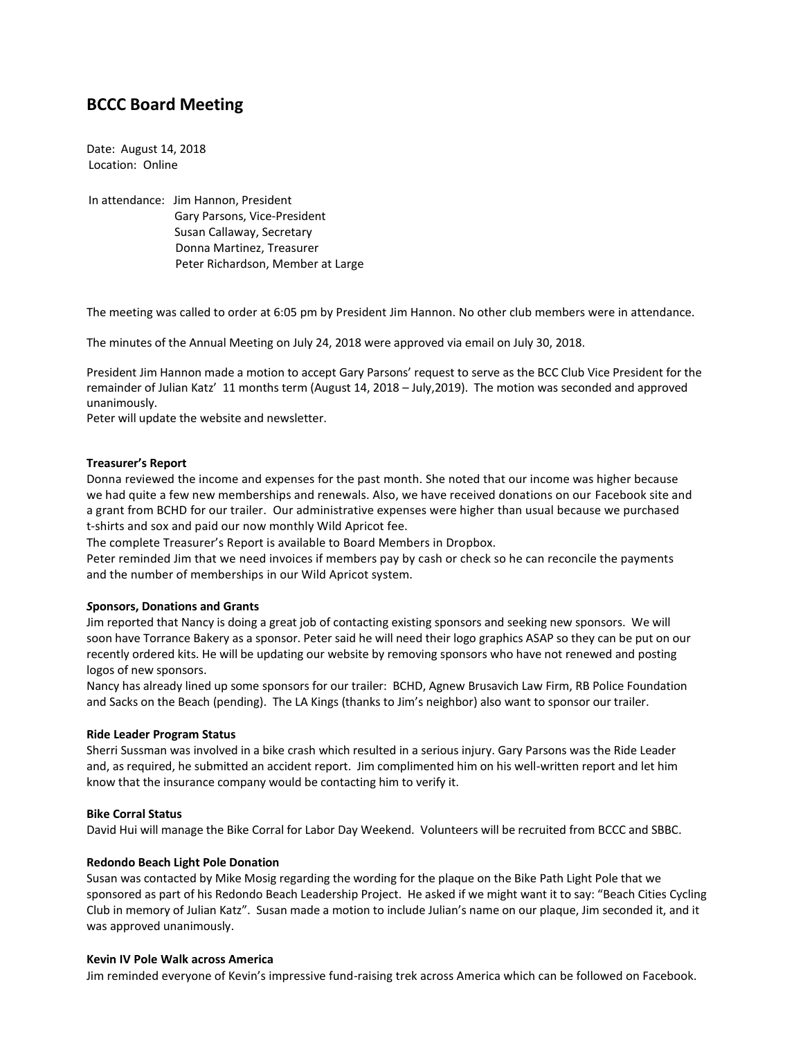# **BCCC Board Meeting**

Date: August 14, 2018 Location: Online

In attendance: Jim Hannon, President Gary Parsons, Vice-President Susan Callaway, Secretary Donna Martinez, Treasurer Peter Richardson, Member at Large

The meeting was called to order at 6:05 pm by President Jim Hannon. No other club members were in attendance.

The minutes of the Annual Meeting on July 24, 2018 were approved via email on July 30, 2018.

President Jim Hannon made a motion to accept Gary Parsons' request to serve as the BCC Club Vice President for the remainder of Julian Katz' 11 months term (August 14, 2018 – July,2019). The motion was seconded and approved unanimously.

Peter will update the website and newsletter.

## **Treasurer's Report**

Donna reviewed the income and expenses for the past month. She noted that our income was higher because we had quite a few new memberships and renewals. Also, we have received donations on our Facebook site and a grant from BCHD for our trailer. Our administrative expenses were higher than usual because we purchased t-shirts and sox and paid our now monthly Wild Apricot fee.

The complete Treasurer's Report is available to Board Members in Dropbox.

Peter reminded Jim that we need invoices if members pay by cash or check so he can reconcile the payments and the number of memberships in our Wild Apricot system.

## *S***ponsors, Donations and Grants**

Jim reported that Nancy is doing a great job of contacting existing sponsors and seeking new sponsors. We will soon have Torrance Bakery as a sponsor. Peter said he will need their logo graphics ASAP so they can be put on our recently ordered kits. He will be updating our website by removing sponsors who have not renewed and posting logos of new sponsors.

Nancy has already lined up some sponsors for our trailer: BCHD, Agnew Brusavich Law Firm, RB Police Foundation and Sacks on the Beach (pending). The LA Kings (thanks to Jim's neighbor) also want to sponsor our trailer.

## **Ride Leader Program Status**

Sherri Sussman was involved in a bike crash which resulted in a serious injury. Gary Parsons was the Ride Leader and, as required, he submitted an accident report. Jim complimented him on his well-written report and let him know that the insurance company would be contacting him to verify it.

# **Bike Corral Status**

David Hui will manage the Bike Corral for Labor Day Weekend. Volunteers will be recruited from BCCC and SBBC.

#### **Redondo Beach Light Pole Donation**

Susan was contacted by Mike Mosig regarding the wording for the plaque on the Bike Path Light Pole that we sponsored as part of his Redondo Beach Leadership Project. He asked if we might want it to say: "Beach Cities Cycling Club in memory of Julian Katz". Susan made a motion to include Julian's name on our plaque, Jim seconded it, and it was approved unanimously.

### **Kevin IV Pole Walk across America**

Jim reminded everyone of Kevin's impressive fund-raising trek across America which can be followed on Facebook.